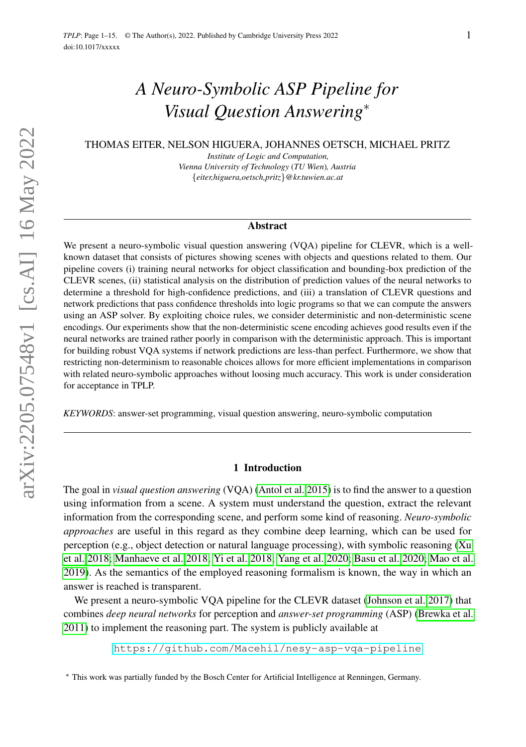# *A Neuro-Symbolic ASP Pipeline for Visual Question Answering*<sup>∗</sup>

THOMAS EITER, NELSON HIGUERA, JOHANNES OETSCH, MICHAEL PRITZ

*Institute of Logic and Computation, Vienna University of Technology* (*TU Wien*)*, Austria* {*eiter,higuera,oetsch,pritz*}*@kr.tuwien.ac.at*

#### Abstract

We present a neuro-symbolic visual question answering (VQA) pipeline for CLEVR, which is a wellknown dataset that consists of pictures showing scenes with objects and questions related to them. Our pipeline covers (i) training neural networks for object classification and bounding-box prediction of the CLEVR scenes, (ii) statistical analysis on the distribution of prediction values of the neural networks to determine a threshold for high-confidence predictions, and (iii) a translation of CLEVR questions and network predictions that pass confidence thresholds into logic programs so that we can compute the answers using an ASP solver. By exploiting choice rules, we consider deterministic and non-deterministic scene encodings. Our experiments show that the non-deterministic scene encoding achieves good results even if the neural networks are trained rather poorly in comparison with the deterministic approach. This is important for building robust VQA systems if network predictions are less-than perfect. Furthermore, we show that restricting non-determinism to reasonable choices allows for more efficient implementations in comparison with related neuro-symbolic approaches without loosing much accuracy. This work is under consideration for acceptance in TPLP.

*KEYWORDS*: answer-set programming, visual question answering, neuro-symbolic computation

#### 1 Introduction

The goal in *visual question answering* (VQA) [\(Antol et al. 2015\)](#page-13-0) is to find the answer to a question using information from a scene. A system must understand the question, extract the relevant information from the corresponding scene, and perform some kind of reasoning. *Neuro-symbolic approaches* are useful in this regard as they combine deep learning, which can be used for perception (e.g., object detection or natural language processing), with symbolic reasoning [\(Xu](#page-14-0) [et al. 2018;](#page-14-0) [Manhaeve et al. 2018;](#page-14-1) [Yi et al. 2018;](#page-14-2) [Yang et al. 2020;](#page-14-3) [Basu et al. 2020;](#page-13-1) [Mao et al.](#page-14-4) [2019\)](#page-14-4). As the semantics of the employed reasoning formalism is known, the way in which an answer is reached is transparent.

We present a neuro-symbolic VQA pipeline for the CLEVR dataset [\(Johnson et al. 2017\)](#page-14-5) that combines *deep neural networks* for perception and *answer-set programming* (ASP) [\(Brewka et al.](#page-14-6) [2011\)](#page-14-6) to implement the reasoning part. The system is publicly available at

<https://github.com/Macehil/nesy-asp-vqa-pipeline>

<sup>∗</sup> This work was partially funded by the Bosch Center for Artificial Intelligence at Renningen, Germany.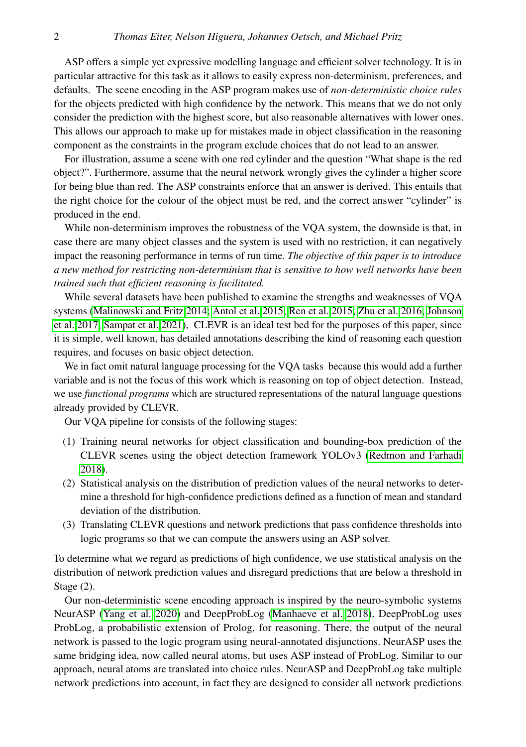ASP offers a simple yet expressive modelling language and efficient solver technology. It is in particular attractive for this task as it allows to easily express non-determinism, preferences, and defaults. The scene encoding in the ASP program makes use of *non-deterministic choice rules* for the objects predicted with high confidence by the network. This means that we do not only consider the prediction with the highest score, but also reasonable alternatives with lower ones. This allows our approach to make up for mistakes made in object classification in the reasoning component as the constraints in the program exclude choices that do not lead to an answer.

For illustration, assume a scene with one red cylinder and the question "What shape is the red object?". Furthermore, assume that the neural network wrongly gives the cylinder a higher score for being blue than red. The ASP constraints enforce that an answer is derived. This entails that the right choice for the colour of the object must be red, and the correct answer "cylinder" is produced in the end.

While non-determinism improves the robustness of the VQA system, the downside is that, in case there are many object classes and the system is used with no restriction, it can negatively impact the reasoning performance in terms of run time. *The objective of this paper is to introduce a new method for restricting non-determinism that is sensitive to how well networks have been trained such that efficient reasoning is facilitated.*

While several datasets have been published to examine the strengths and weaknesses of VQA systems [\(Malinowski and Fritz 2014;](#page-14-7) [Antol et al. 2015;](#page-13-0) [Ren et al. 2015;](#page-14-8) [Zhu et al. 2016;](#page-15-0) [Johnson](#page-14-5) [et al. 2017;](#page-14-5) [Sampat et al. 2021\)](#page-14-9), CLEVR is an ideal test bed for the purposes of this paper, since it is simple, well known, has detailed annotations describing the kind of reasoning each question requires, and focuses on basic object detection.

We in fact omit natural language processing for the VQA tasks because this would add a further variable and is not the focus of this work which is reasoning on top of object detection. Instead, we use *functional programs* which are structured representations of the natural language questions already provided by CLEVR.

Our VQA pipeline for consists of the following stages:

- (1) Training neural networks for object classification and bounding-box prediction of the CLEVR scenes using the object detection framework YOLOv3 [\(Redmon and Farhadi](#page-14-10) [2018\)](#page-14-10).
- (2) Statistical analysis on the distribution of prediction values of the neural networks to determine a threshold for high-confidence predictions defined as a function of mean and standard deviation of the distribution.
- (3) Translating CLEVR questions and network predictions that pass confidence thresholds into logic programs so that we can compute the answers using an ASP solver.

To determine what we regard as predictions of high confidence, we use statistical analysis on the distribution of network prediction values and disregard predictions that are below a threshold in Stage (2).

Our non-deterministic scene encoding approach is inspired by the neuro-symbolic systems NeurASP [\(Yang et al. 2020\)](#page-14-3) and DeepProbLog [\(Manhaeve et al. 2018\)](#page-14-1). DeepProbLog uses ProbLog, a probabilistic extension of Prolog, for reasoning. There, the output of the neural network is passed to the logic program using neural-annotated disjunctions. NeurASP uses the same bridging idea, now called neural atoms, but uses ASP instead of ProbLog. Similar to our approach, neural atoms are translated into choice rules. NeurASP and DeepProbLog take multiple network predictions into account, in fact they are designed to consider all network predictions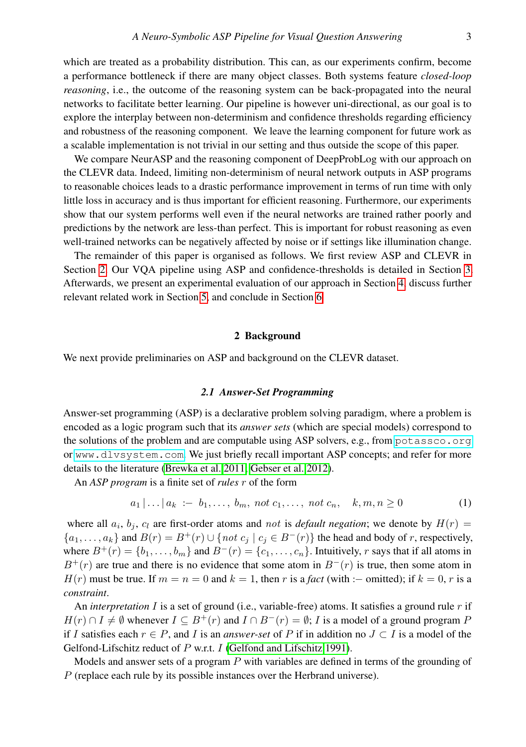which are treated as a probability distribution. This can, as our experiments confirm, become a performance bottleneck if there are many object classes. Both systems feature *closed-loop reasoning*, i.e., the outcome of the reasoning system can be back-propagated into the neural networks to facilitate better learning. Our pipeline is however uni-directional, as our goal is to explore the interplay between non-determinism and confidence thresholds regarding efficiency and robustness of the reasoning component. We leave the learning component for future work as a scalable implementation is not trivial in our setting and thus outside the scope of this paper.

We compare NeurASP and the reasoning component of DeepProbLog with our approach on the CLEVR data. Indeed, limiting non-determinism of neural network outputs in ASP programs to reasonable choices leads to a drastic performance improvement in terms of run time with only little loss in accuracy and is thus important for efficient reasoning. Furthermore, our experiments show that our system performs well even if the neural networks are trained rather poorly and predictions by the network are less-than perfect. This is important for robust reasoning as even well-trained networks can be negatively affected by noise or if settings like illumination change.

The remainder of this paper is organised as follows. We first review ASP and CLEVR in Section [2.](#page-2-0) Our VQA pipeline using ASP and confidence-thresholds is detailed in Section [3.](#page-4-0) Afterwards, we present an experimental evaluation of our approach in Section [4,](#page-9-0) discuss further relevant related work in Section [5,](#page-12-0) and conclude in Section [6.](#page-13-2)

#### 2 Background

<span id="page-2-0"></span>We next provide preliminaries on ASP and background on the CLEVR dataset.

# *2.1 Answer-Set Programming*

Answer-set programming (ASP) is a declarative problem solving paradigm, where a problem is encoded as a logic program such that its *answer sets* (which are special models) correspond to the solutions of the problem and are computable using ASP solvers, e.g., from <potassco.org> or <www.dlvsystem.com>. We just briefly recall important ASP concepts; and refer for more details to the literature [\(Brewka et al. 2011;](#page-14-6) [Gebser et al. 2012\)](#page-14-11).

An *ASP program* is a finite set of *rules* r of the form

$$
a_1 | \dots | a_k := b_1, \dots, b_m, \text{ not } c_1, \dots, \text{ not } c_n, \quad k, m, n \ge 0 \tag{1}
$$

where all  $a_i$ ,  $b_j$ ,  $c_l$  are first-order atoms and not is *default negation*; we denote by  $H(r)$  =  ${a_1, \ldots, a_k}$  and  $B(r) = B^+(r) \cup \{ not \ c_j \mid c_j \in B^-(r) \}$  the head and body of r, respectively, where  $B^+(r) = \{b_1, \ldots, b_m\}$  and  $B^-(r) = \{c_1, \ldots, c_n\}$ . Intuitively, r says that if all atoms in  $B^+(r)$  are true and there is no evidence that some atom in  $B^-(r)$  is true, then some atom in  $H(r)$  must be true. If  $m = n = 0$  and  $k = 1$ , then r is a *fact* (with :– omitted); if  $k = 0$ , r is a *constraint*.

An *interpretation* I is a set of ground (i.e., variable-free) atoms. It satisfies a ground rule r if  $H(r) \cap I \neq \emptyset$  whenever  $I \subseteq B^+(r)$  and  $I \cap B^-(r) = \emptyset$ ; I is a model of a ground program P if I satisfies each  $r \in P$ , and I is an *answer-set* of P if in addition no  $J \subset I$  is a model of the Gelfond-Lifschitz reduct of P w.r.t. I [\(Gelfond and Lifschitz 1991\)](#page-14-12).

Models and answer sets of a program  $P$  with variables are defined in terms of the grounding of P (replace each rule by its possible instances over the Herbrand universe).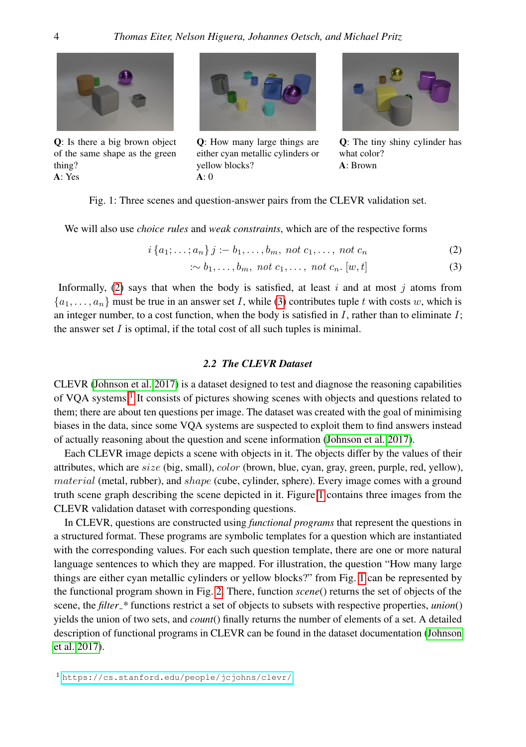<span id="page-3-3"></span>

Q: Is there a big brown object of the same shape as the green thing? A: Yes



Q: How many large things are either cyan metallic cylinders or yellow blocks?  $A: 0$ 

<span id="page-3-1"></span><span id="page-3-0"></span>

Q: The tiny shiny cylinder has what color? A: Brown

# Fig. 1: Three scenes and question-answer pairs from the CLEVR validation set.

We will also use *choice rules* and *weak constraints*, which are of the respective forms

$$
i\{a_1; \ldots; a_n\} \, j := b_1, \ldots, b_m, \; not \; c_1, \ldots, \; not \; c_n \tag{2}
$$

$$
\therefore b_1, \dots, b_m, \text{ not } c_1, \dots, \text{ not } c_n. [w, t]
$$
 (3)

Informally, [\(2\)](#page-3-0) says that when the body is satisfied, at least  $i$  and at most  $j$  atoms from  $\{a_1, \ldots, a_n\}$  must be true in an answer set I, while [\(3\)](#page-3-1) contributes tuple t with costs w, which is an integer number, to a cost function, when the body is satisfied in  $I$ , rather than to eliminate  $I$ ; the answer set  $I$  is optimal, if the total cost of all such tuples is minimal.

#### *2.2 The CLEVR Dataset*

<span id="page-3-4"></span>CLEVR [\(Johnson et al. 2017\)](#page-14-5) is a dataset designed to test and diagnose the reasoning capabilities of VQA systems.<sup>[1](#page-3-2)</sup> It consists of pictures showing scenes with objects and questions related to them; there are about ten questions per image. The dataset was created with the goal of minimising biases in the data, since some VQA systems are suspected to exploit them to find answers instead of actually reasoning about the question and scene information [\(Johnson et al. 2017\)](#page-14-5).

Each CLEVR image depicts a scene with objects in it. The objects differ by the values of their attributes, which are  $size$  (big, small), *color* (brown, blue, cyan, gray, green, purple, red, yellow), material (metal, rubber), and shape (cube, cylinder, sphere). Every image comes with a ground truth scene graph describing the scene depicted in it. Figure [1](#page-3-3) contains three images from the CLEVR validation dataset with corresponding questions.

<span id="page-3-2"></span>In CLEVR, questions are constructed using *functional programs* that represent the questions in a structured format. These programs are symbolic templates for a question which are instantiated with the corresponding values. For each such question template, there are one or more natural language sentences to which they are mapped. For illustration, the question "How many large things are either cyan metallic cylinders or yellow blocks?" from Fig. [1](#page-3-3) can be represented by the functional program shown in Fig. [2.](#page-4-1) There, function *scene*() returns the set of objects of the scene, the *filter \** functions restrict a set of objects to subsets with respective properties, *union*() yields the union of two sets, and *count*() finally returns the number of elements of a set. A detailed description of functional programs in CLEVR can be found in the dataset documentation [\(Johnson](#page-14-5) [et al. 2017\)](#page-14-5).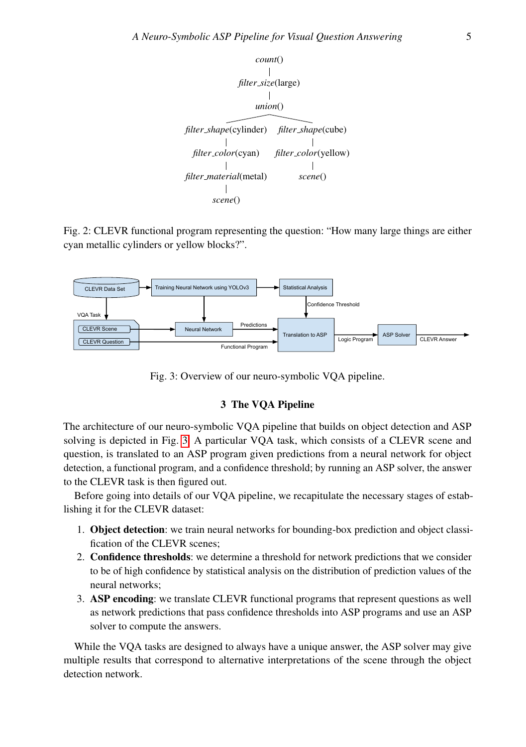<span id="page-4-1"></span>

Fig. 2: CLEVR functional program representing the question: "How many large things are either cyan metallic cylinders or yellow blocks?".

<span id="page-4-2"></span>

Fig. 3: Overview of our neuro-symbolic VQA pipeline.

# 3 The VQA Pipeline

<span id="page-4-0"></span>The architecture of our neuro-symbolic VQA pipeline that builds on object detection and ASP solving is depicted in Fig. [3.](#page-4-2) A particular VQA task, which consists of a CLEVR scene and question, is translated to an ASP program given predictions from a neural network for object detection, a functional program, and a confidence threshold; by running an ASP solver, the answer to the CLEVR task is then figured out.

Before going into details of our VQA pipeline, we recapitulate the necessary stages of establishing it for the CLEVR dataset:

- 1. Object detection: we train neural networks for bounding-box prediction and object classification of the CLEVR scenes;
- 2. Confidence thresholds: we determine a threshold for network predictions that we consider to be of high confidence by statistical analysis on the distribution of prediction values of the neural networks;
- 3. ASP encoding: we translate CLEVR functional programs that represent questions as well as network predictions that pass confidence thresholds into ASP programs and use an ASP solver to compute the answers.

While the VQA tasks are designed to always have a unique answer, the ASP solver may give multiple results that correspond to alternative interpretations of the scene through the object detection network.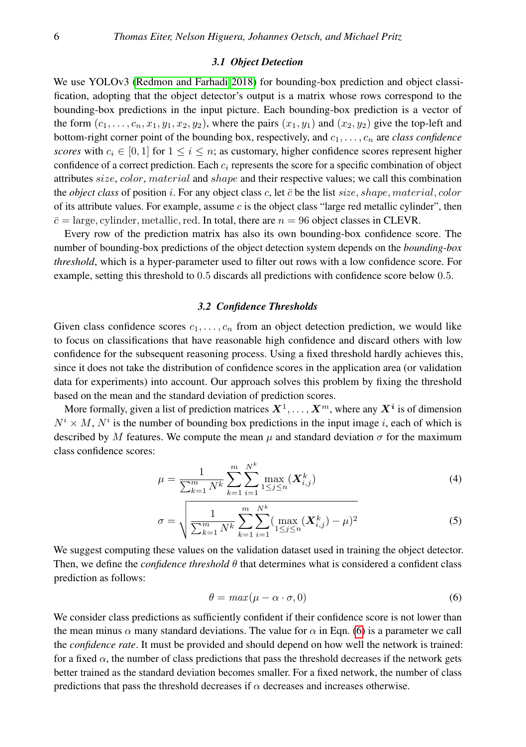#### *3.1 Object Detection*

We use YOLOv3 [\(Redmon and Farhadi 2018\)](#page-14-10) for bounding-box prediction and object classification, adopting that the object detector's output is a matrix whose rows correspond to the bounding-box predictions in the input picture. Each bounding-box prediction is a vector of the form  $(c_1, \ldots, c_n, x_1, y_1, x_2, y_2)$ , where the pairs  $(x_1, y_1)$  and  $(x_2, y_2)$  give the top-left and bottom-right corner point of the bounding box, respectively, and c1, . . . , c<sup>n</sup> are *class confidence scores* with  $c_i \in [0,1]$  for  $1 \le i \le n$ ; as customary, higher confidence scores represent higher confidence of a correct prediction. Each  $c_i$  represents the score for a specific combination of object attributes  $size, color, material$  and  $shape$  and their respective values; we call this combination the *object class* of position i. For any object class c, let  $\bar{c}$  be the list size, shape, material, color of its attribute values. For example, assume  $c$  is the object class "large red metallic cylinder", then  $\bar{c}$  = large, cylinder, metallic, red. In total, there are  $n = 96$  object classes in CLEVR.

Every row of the prediction matrix has also its own bounding-box confidence score. The number of bounding-box predictions of the object detection system depends on the *bounding-box threshold*, which is a hyper-parameter used to filter out rows with a low confidence score. For example, setting this threshold to 0.5 discards all predictions with confidence score below 0.5.

#### *3.2 Confidence Thresholds*

<span id="page-5-1"></span>Given class confidence scores  $c_1, \ldots, c_n$  from an object detection prediction, we would like to focus on classifications that have reasonable high confidence and discard others with low confidence for the subsequent reasoning process. Using a fixed threshold hardly achieves this, since it does not take the distribution of confidence scores in the application area (or validation data for experiments) into account. Our approach solves this problem by fixing the threshold based on the mean and the standard deviation of prediction scores.

More formally, given a list of prediction matrices  $X^1,\ldots,X^m,$  where any  $X^i$  is of dimension  $N^i \times M$ ,  $N^i$  is the number of bounding box predictions in the input image i, each of which is described by M features. We compute the mean  $\mu$  and standard deviation  $\sigma$  for the maximum class confidence scores:

$$
\mu = \frac{1}{\sum_{k=1}^{m} N^k} \sum_{k=1}^{m} \sum_{i=1}^{N^k} \max_{1 \le j \le n} (\boldsymbol{X}_{i,j}^k)
$$
(4)

$$
\sigma = \sqrt{\frac{1}{\sum_{k=1}^{m} N^k} \sum_{k=1}^{m} \sum_{i=1}^{N^k} (\max_{1 \le j \le n} (\mathbf{X}_{i,j}^k) - \mu)^2}
$$
(5)

We suggest computing these values on the validation dataset used in training the object detector. Then, we define the *confidence threshold* θ that determines what is considered a confident class prediction as follows:

<span id="page-5-0"></span>
$$
\theta = \max(\mu - \alpha \cdot \sigma, 0) \tag{6}
$$

We consider class predictions as sufficiently confident if their confidence score is not lower than the mean minus  $\alpha$  many standard deviations. The value for  $\alpha$  in Eqn. [\(6\)](#page-5-0) is a parameter we call the *confidence rate*. It must be provided and should depend on how well the network is trained: for a fixed  $\alpha$ , the number of class predictions that pass the threshold decreases if the network gets better trained as the standard deviation becomes smaller. For a fixed network, the number of class predictions that pass the threshold decreases if  $\alpha$  decreases and increases otherwise.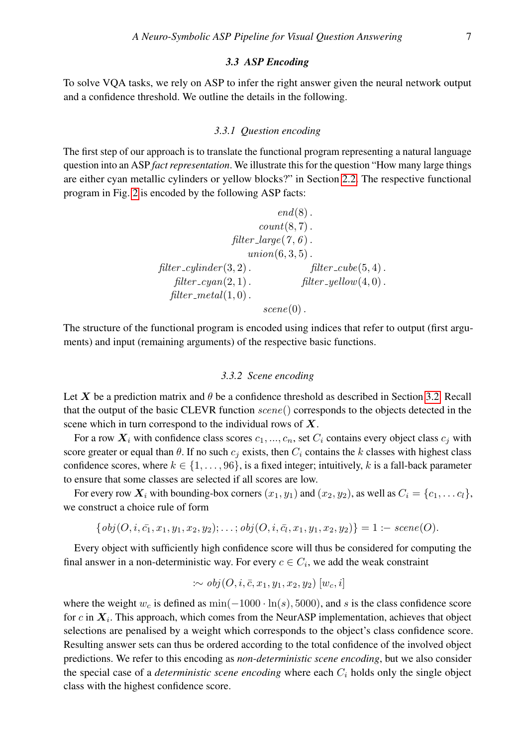#### *3.3 ASP Encoding*

To solve VQA tasks, we rely on ASP to infer the right answer given the neural network output and a confidence threshold. We outline the details in the following.

#### *3.3.1 Question encoding*

The first step of our approach is to translate the functional program representing a natural language question into an ASP *fact representation*. We illustrate this for the question "How many large things are either cyan metallic cylinders or yellow blocks?" in Section [2.2.](#page-3-4) The respective functional program in Fig. [2](#page-4-1) is encoded by the following ASP facts:

```
end(8).
                      count(8, 7).
                filter_large(7, 6).
                   union(6, 3, 5).
filter\_cylinder(3, 2). filter\_cube(5, 4).
   filter\_cyan(2, 1). filter\_yellow(4, 0).
  filter\_metal(1,0).
                      \mathit{scene}(0).
```
The structure of the functional program is encoded using indices that refer to output (first arguments) and input (remaining arguments) of the respective basic functions.

# *3.3.2 Scene encoding*

Let X be a prediction matrix and  $\theta$  be a confidence threshold as described in Section [3.2.](#page-5-1) Recall that the output of the basic CLEVR function scene() corresponds to the objects detected in the scene which in turn correspond to the individual rows of  $X$ .

For a row  $X_i$  with confidence class scores  $c_1, ..., c_n$ , set  $C_i$  contains every object class  $c_i$  with score greater or equal than  $\theta$ . If no such  $c_i$  exists, then  $C_i$  contains the k classes with highest class confidence scores, where  $k \in \{1, \ldots, 96\}$ , is a fixed integer; intuitively, k is a fall-back parameter to ensure that some classes are selected if all scores are low.

For every row  $X_i$  with bounding-box corners  $(x_1, y_1)$  and  $(x_2, y_2)$ , as well as  $C_i = \{c_1, \ldots c_l\}$ , we construct a choice rule of form

$$
\{obj(O, i, \bar{c_1}, x_1, y_1, x_2, y_2); \ldots; obj(O, i, \bar{c_l}, x_1, y_1, x_2, y_2)\} = 1 : -\text{scene}(O).
$$

Every object with sufficiently high confidence score will thus be considered for computing the final answer in a non-deterministic way. For every  $c \in C_i$ , we add the weak constraint

$$
\therefore \text{ obj}(O, i, \overline{c}, x_1, y_1, x_2, y_2) \, [w_c, i]
$$

where the weight  $w_c$  is defined as  $\min(-1000 \cdot \ln(s), 5000)$ , and s is the class confidence score for c in  $X_i$ . This approach, which comes from the NeurASP implementation, achieves that object selections are penalised by a weight which corresponds to the object's class confidence score. Resulting answer sets can thus be ordered according to the total confidence of the involved object predictions. We refer to this encoding as *non-deterministic scene encoding*, but we also consider the special case of a *deterministic scene encoding* where each  $C_i$  holds only the single object class with the highest confidence score.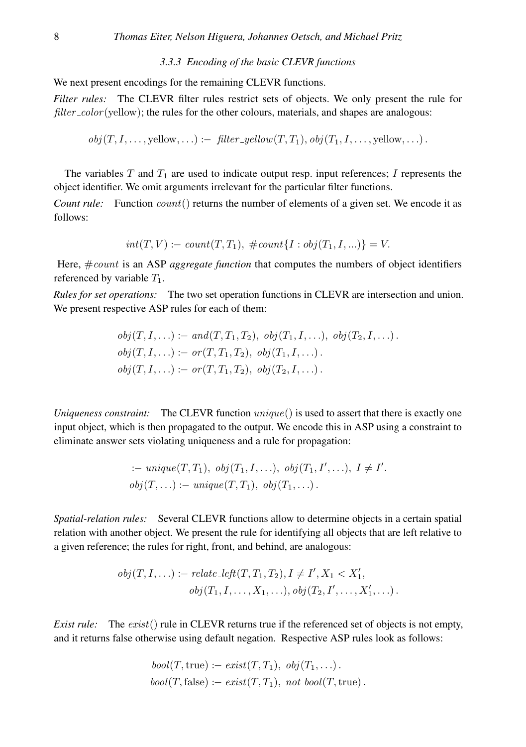*3.3.3 Encoding of the basic CLEVR functions*

We next present encodings for the remaining CLEVR functions.

*Filter rules:* The CLEVR filter rules restrict sets of objects. We only present the rule for  $filter\_color(yellow)$ ; the rules for the other colours, materials, and shapes are analogous:

 $obj(T, I, \ldots,$  yellow,  $\ldots) :=$  filter\_yellow $(T, T_1),$   $obj(T_1, I, \ldots,$  yellow,  $\ldots)$ .

The variables  $T$  and  $T_1$  are used to indicate output resp. input references; I represents the object identifier. We omit arguments irrelevant for the particular filter functions.

*Count rule:* Function  $count()$  returns the number of elements of a given set. We encode it as follows:

$$
int(T, V) := count(T, T_1), \# count\{I : obj(T_1, I, ...)\} = V.
$$

Here, #count is an ASP *aggregate function* that computes the numbers of object identifiers referenced by variable  $T_1$ .

*Rules for set operations:* The two set operation functions in CLEVR are intersection and union. We present respective ASP rules for each of them:

$$
obj(T, I, ...):
$$
 =  $and(T, T_1, T_2), obj(T_1, I, ...), obj(T_2, I, ...)$ .  
\n $obj(T, I, ...):$  =  $or(T, T_1, T_2), obj(T_1, I, ...)$ .  
\n $obj(T, I, ...):$  =  $or(T, T_1, T_2), obj(T_2, I, ...)$ .

*Uniqueness constraint:* The CLEVR function unique() is used to assert that there is exactly one input object, which is then propagated to the output. We encode this in ASP using a constraint to eliminate answer sets violating uniqueness and a rule for propagation:

$$
\therefore \text{ unique}(T, T_1), \text{ obj}(T_1, I, \ldots), \text{ obj}(T_1, I', \ldots), I \neq I'.
$$
  

$$
\text{obj}(T, \ldots) := \text{unique}(T, T_1), \text{ obj}(T_1, \ldots).
$$

*Spatial-relation rules:* Several CLEVR functions allow to determine objects in a certain spatial relation with another object. We present the rule for identifying all objects that are left relative to a given reference; the rules for right, front, and behind, are analogous:

$$
obj(T, I, ...):
$$
 = relate $left(T, T_1, T_2), I \neq I', X_1 < X'_1,$   
 $obj(T_1, I, ..., X_1, ...), obj(T_2, I', ..., X'_1, ...).$ 

*Exist rule:* The *exist*() rule in CLEVR returns true if the referenced set of objects is not empty, and it returns false otherwise using default negation. Respective ASP rules look as follows:

$$
bool(T, true) := exist(T, T_1), obj(T_1, ...).
$$
  

$$
bool(T, false) := exist(T, T_1), not bool(T, true).
$$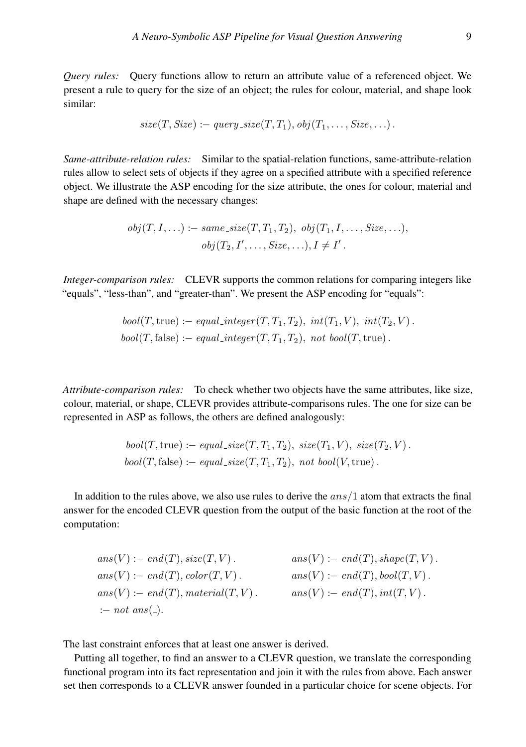*Query rules:* Query functions allow to return an attribute value of a referenced object. We present a rule to query for the size of an object; the rules for colour, material, and shape look similar:

$$
size(T, Size) := query\_size(T, T_1), obj(T_1, \ldots, Size, \ldots).
$$

*Same-attribute-relation rules:* Similar to the spatial-relation functions, same-attribute-relation rules allow to select sets of objects if they agree on a specified attribute with a specified reference object. We illustrate the ASP encoding for the size attribute, the ones for colour, material and shape are defined with the necessary changes:

$$
obj(T, I, \ldots) := same\_size(T, T_1, T_2), obj(T_1, I, \ldots, Size, \ldots),
$$

$$
obj(T_2, I', \ldots, Size, \ldots), I \neq I'.
$$

*Integer-comparison rules:* CLEVR supports the common relations for comparing integers like "equals", "less-than", and "greater-than". We present the ASP encoding for "equals":

$$
bool(T, true) := equal\_integer(T, T_1, T_2), int(T_1, V), int(T_2, V).
$$
  

$$
bool(T, false) := equal\_integer(T, T_1, T_2), not bool(T, true).
$$

*Attribute-comparison rules:* To check whether two objects have the same attributes, like size, colour, material, or shape, CLEVR provides attribute-comparisons rules. The one for size can be represented in ASP as follows, the others are defined analogously:

$$
bool(T, true) := equal\_size(T, T_1, T_2), \; size(T_1, V), \; size(T_2, V).
$$
  

$$
bool(T, false) := equal\_size(T, T_1, T_2), \; not \; bool(V, true).
$$

In addition to the rules above, we also use rules to derive the  $ans/1$  atom that extracts the final answer for the encoded CLEVR question from the output of the basic function at the root of the computation:

 $ans(V) := end(T), size(T, V).$  ans $(V) := end(T), shape(T, V)$ .  $ans(V) := end(T), color(T, V)$ .  $ans(V) := end(T), bool(T, V)$ .  $ans(V) := end(T)$ , material(T, V).  $ans(V) := end(T)$ ,  $int(T, V)$ . : $- not \nans($ .

The last constraint enforces that at least one answer is derived.

Putting all together, to find an answer to a CLEVR question, we translate the corresponding functional program into its fact representation and join it with the rules from above. Each answer set then corresponds to a CLEVR answer founded in a particular choice for scene objects. For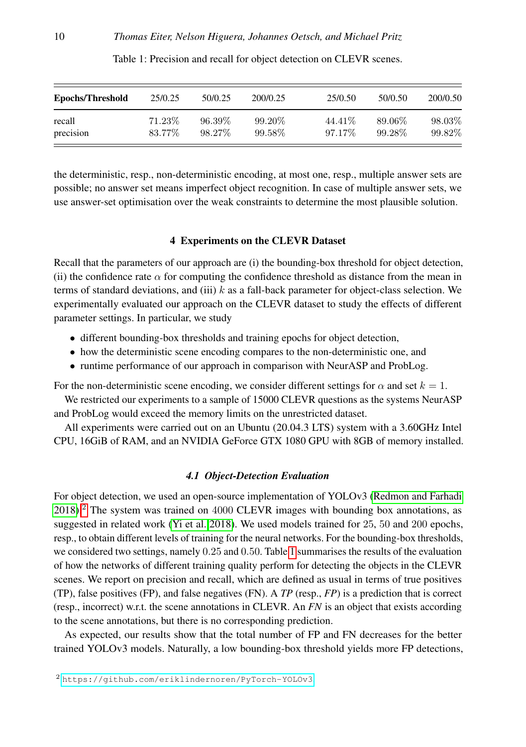<span id="page-9-2"></span>

| <b>Epochs/Threshold</b> | 25/0.25   | 50/0.25   | 200/0.25 | 25/0.50 | 50/0.50 | 200/0.50 |  |
|-------------------------|-----------|-----------|----------|---------|---------|----------|--|
| recall                  | $71.23\%$ | $96.39\%$ | 99.20\%  | 44.41\% | 89.06\% | 98.03%   |  |
| precision               | 83.77%    | 98.27\%   | 99.58\%  | 97.17\% | 99.28%  | 99.82%   |  |

Table 1: Precision and recall for object detection on CLEVR scenes.

the deterministic, resp., non-deterministic encoding, at most one, resp., multiple answer sets are possible; no answer set means imperfect object recognition. In case of multiple answer sets, we use answer-set optimisation over the weak constraints to determine the most plausible solution.

# 4 Experiments on the CLEVR Dataset

<span id="page-9-0"></span>Recall that the parameters of our approach are (i) the bounding-box threshold for object detection, (ii) the confidence rate  $\alpha$  for computing the confidence threshold as distance from the mean in terms of standard deviations, and (iii)  $k$  as a fall-back parameter for object-class selection. We experimentally evaluated our approach on the CLEVR dataset to study the effects of different parameter settings. In particular, we study

- different bounding-box thresholds and training epochs for object detection,
- how the deterministic scene encoding compares to the non-deterministic one, and
- runtime performance of our approach in comparison with NeurASP and ProbLog.

For the non-deterministic scene encoding, we consider different settings for  $\alpha$  and set  $k = 1$ .

We restricted our experiments to a sample of 15000 CLEVR questions as the systems NeurASP and ProbLog would exceed the memory limits on the unrestricted dataset.

All experiments were carried out on an Ubuntu (20.04.3 LTS) system with a 3.60GHz Intel CPU, 16GiB of RAM, and an NVIDIA GeForce GTX 1080 GPU with 8GB of memory installed.

# *4.1 Object-Detection Evaluation*

For object detection, we used an open-source implementation of YOLOv3 [\(Redmon and Farhadi](#page-14-10) [2018\)](#page-14-10).<sup>[2](#page-9-1)</sup> The system was trained on 4000 CLEVR images with bounding box annotations, as suggested in related work [\(Yi et al. 2018\)](#page-14-2). We used models trained for 25, 50 and 200 epochs, resp., to obtain different levels of training for the neural networks. For the bounding-box thresholds, we considered two settings, namely 0.25 and 0.50. Table [1](#page-9-2) summarises the results of the evaluation of how the networks of different training quality perform for detecting the objects in the CLEVR scenes. We report on precision and recall, which are defined as usual in terms of true positives (TP), false positives (FP), and false negatives (FN). A *TP* (resp., *FP*) is a prediction that is correct (resp., incorrect) w.r.t. the scene annotations in CLEVR. An *FN* is an object that exists according to the scene annotations, but there is no corresponding prediction.

As expected, our results show that the total number of FP and FN decreases for the better trained YOLOv3 models. Naturally, a low bounding-box threshold yields more FP detections,

<span id="page-9-1"></span><sup>2</sup> <https://github.com/eriklindernoren/PyTorch-YOLOv3>.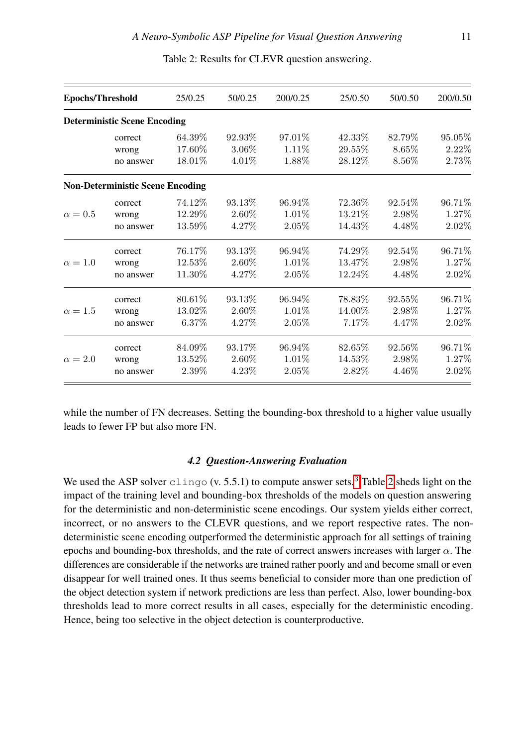<span id="page-10-0"></span>

| <b>Epochs/Threshold</b> |                                         | 25/0.25 | 50/0.25 | 200/0.25 | 25/0.50<br>50/0.50 |         | 200/0.50 |  |
|-------------------------|-----------------------------------------|---------|---------|----------|--------------------|---------|----------|--|
|                         | <b>Deterministic Scene Encoding</b>     |         |         |          |                    |         |          |  |
|                         | correct                                 | 64.39%  | 92.93%  | 97.01\%  | 42.33%             | 82.79%  | 95.05%   |  |
|                         | wrong                                   | 17.60%  | 3.06%   | 1.11\%   | 29.55%             | 8.65%   | 2.22%    |  |
|                         | no answer                               | 18.01\% | 4.01\%  | 1.88%    | 28.12\%            | 8.56%   | 2.73%    |  |
|                         | <b>Non-Deterministic Scene Encoding</b> |         |         |          |                    |         |          |  |
|                         | correct                                 | 74.12\% | 93.13\% | 96.94\%  | 72.36\%            | 92.54\% | 96.71%   |  |
| $\alpha=0.5$            | wrong                                   | 12.29%  | 2.60%   | $1.01\%$ | 13.21\%            | 2.98%   | 1.27%    |  |
|                         | no answer                               | 13.59%  | 4.27%   | 2.05%    | 14.43\%            | 4.48%   | 2.02%    |  |
|                         | correct                                 | 76.17%  | 93.13\% | 96.94%   | 74.29%             | 92.54%  | 96.71%   |  |
| $\alpha = 1.0$          | wrong                                   | 12.53%  | 2.60%   | $1.01\%$ | 13.47\%            | 2.98%   | 1.27%    |  |
|                         | no answer                               | 11.30%  | 4.27%   | $2.05\%$ | 12.24\%            | 4.48%   | $2.02\%$ |  |
|                         | correct                                 | 80.61\% | 93.13\% | 96.94%   | 78.83%             | 92.55%  | 96.71%   |  |
| $\alpha = 1.5$          | wrong                                   | 13.02%  | 2.60%   | $1.01\%$ | 14.00%             | 2.98%   | 1.27%    |  |
|                         | no answer                               | 6.37%   | 4.27%   | $2.05\%$ | 7.17\%             | 4.47%   | 2.02%    |  |
|                         | correct                                 | 84.09%  | 93.17\% | 96.94%   | 82.65%             | 92.56%  | 96.71%   |  |
| $\alpha = 2.0$          | wrong                                   | 13.52%  | 2.60%   | 1.01\%   | 14.53%             | 2.98%   | 1.27\%   |  |
|                         | no answer                               | 2.39%   | 4.23%   | $2.05\%$ | 2.82\%             | 4.46%   | 2.02%    |  |

Table 2: Results for CLEVR question answering.

while the number of FN decreases. Setting the bounding-box threshold to a higher value usually leads to fewer FP but also more FN.

#### *4.2 Question-Answering Evaluation*

We used the ASP solver  $\text{clingo (v. 5.5.1)}$  to compute answer sets.<sup>[3](#page-11-0)</sup> Table [2](#page-10-0) sheds light on the impact of the training level and bounding-box thresholds of the models on question answering for the deterministic and non-deterministic scene encodings. Our system yields either correct, incorrect, or no answers to the CLEVR questions, and we report respective rates. The nondeterministic scene encoding outperformed the deterministic approach for all settings of training epochs and bounding-box thresholds, and the rate of correct answers increases with larger  $\alpha$ . The differences are considerable if the networks are trained rather poorly and and become small or even disappear for well trained ones. It thus seems beneficial to consider more than one prediction of the object detection system if network predictions are less than perfect. Also, lower bounding-box thresholds lead to more correct results in all cases, especially for the deterministic encoding. Hence, being too selective in the object detection is counterproductive.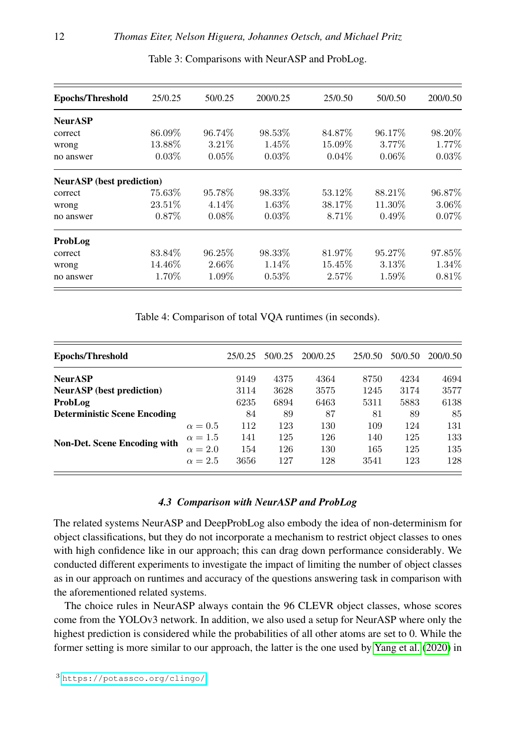<span id="page-11-1"></span>

| <b>Epochs/Threshold</b>          | 25/0.25  | 50/0.25  | 200/0.25 | 25/0.50  | 50/0.50  | 200/0.50 |
|----------------------------------|----------|----------|----------|----------|----------|----------|
| <b>NeurASP</b>                   |          |          |          |          |          |          |
| correct                          | 86.09%   | 96.74\%  | 98.53%   | 84.87\%  | 96.17\%  | 98.20%   |
| wrong                            | 13.88%   | $3.21\%$ | $1.45\%$ | 15.09%   | $3.77\%$ | 1.77%    |
| no answer                        | $0.03\%$ | $0.05\%$ | $0.03\%$ | $0.04\%$ | $0.06\%$ | $0.03\%$ |
| <b>NeurASP</b> (best prediction) |          |          |          |          |          |          |
| correct                          | 75.63%   | 95.78%   | 98.33%   | 53.12\%  | 88.21\%  | 96.87\%  |
| wrong                            | 23.51\%  | $4.14\%$ | $1.63\%$ | 38.17\%  | 11.30\%  | $3.06\%$ |
| no answer                        | $0.87\%$ | $0.08\%$ | $0.03\%$ | 8.71\%   | $0.49\%$ | $0.07\%$ |
| ProbLog                          |          |          |          |          |          |          |
| correct                          | 83.84\%  | 96.25\%  | 98.33%   | 81.97%   | 95.27\%  | 97.85%   |
| wrong                            | 14.46\%  | 2.66\%   | $1.14\%$ | 15.45\%  | $3.13\%$ | 1.34\%   |
| no answer                        | 1.70%    | 1.09%    | $0.53\%$ | $2.57\%$ | 1.59%    | $0.81\%$ |
|                                  |          |          |          |          |          |          |

Table 3: Comparisons with NeurASP and ProbLog.

Table 4: Comparison of total VQA runtimes (in seconds).

<span id="page-11-2"></span>

| Epochs/Threshold                    |                | 25/0.25 | 50/0.25 | 200/0.25 | 25/0.50 | 50/0.50 | 200/0.50 |
|-------------------------------------|----------------|---------|---------|----------|---------|---------|----------|
| <b>NeurASP</b>                      |                | 9149    | 4375    | 4364     | 8750    | 4234    | 4694     |
| <b>NeurASP</b> (best prediction)    |                | 3114    | 3628    | 3575     | 1245    | 3174    | 3577     |
| ProbLog                             |                | 6235    | 6894    | 6463     | 5311    | 5883    | 6138     |
| <b>Deterministic Scene Encoding</b> |                | 84      | 89      | 87       | 81      | 89      | 85       |
|                                     | $\alpha = 0.5$ | 112     | 123     | 130      | 109     | 124     | 131      |
|                                     | $\alpha = 1.5$ | 141     | 125     | 126      | 140     | 125     | 133      |
| <b>Non-Det. Scene Encoding with</b> | $\alpha = 2.0$ | 154     | 126     | 130      | 165     | 125     | 135      |
|                                     | $\alpha = 2.5$ | 3656    | 127     | 128      | 3541    | 123     | 128      |

# *4.3 Comparison with NeurASP and ProbLog*

The related systems NeurASP and DeepProbLog also embody the idea of non-determinism for object classifications, but they do not incorporate a mechanism to restrict object classes to ones with high confidence like in our approach; this can drag down performance considerably. We conducted different experiments to investigate the impact of limiting the number of object classes as in our approach on runtimes and accuracy of the questions answering task in comparison with the aforementioned related systems.

<span id="page-11-0"></span>The choice rules in NeurASP always contain the 96 CLEVR object classes, whose scores come from the YOLOv3 network. In addition, we also used a setup for NeurASP where only the highest prediction is considered while the probabilities of all other atoms are set to 0. While the former setting is more similar to our approach, the latter is the one used by [Yang et al.](#page-14-3) [\(2020\)](#page-14-3) in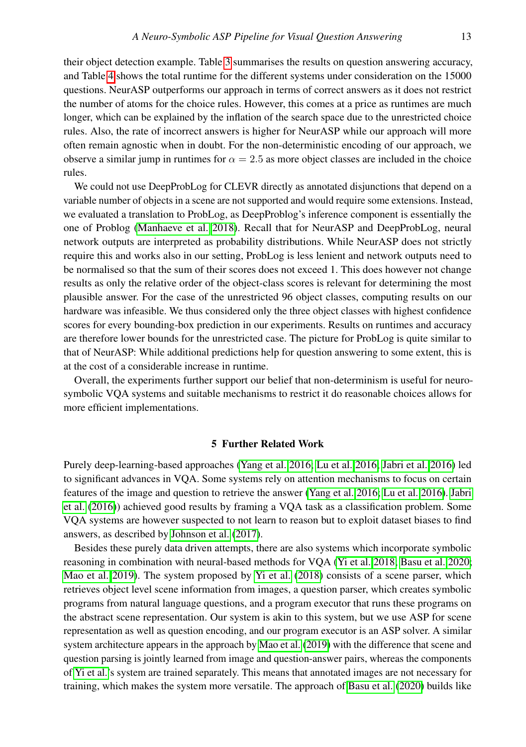their object detection example. Table [3](#page-11-1) summarises the results on question answering accuracy, and Table [4](#page-11-2) shows the total runtime for the different systems under consideration on the 15000 questions. NeurASP outperforms our approach in terms of correct answers as it does not restrict the number of atoms for the choice rules. However, this comes at a price as runtimes are much longer, which can be explained by the inflation of the search space due to the unrestricted choice rules. Also, the rate of incorrect answers is higher for NeurASP while our approach will more often remain agnostic when in doubt. For the non-deterministic encoding of our approach, we observe a similar jump in runtimes for  $\alpha = 2.5$  as more object classes are included in the choice rules.

We could not use DeepProbLog for CLEVR directly as annotated disjunctions that depend on a variable number of objects in a scene are not supported and would require some extensions. Instead, we evaluated a translation to ProbLog, as DeepProblog's inference component is essentially the one of Problog [\(Manhaeve et al. 2018\)](#page-14-1). Recall that for NeurASP and DeepProbLog, neural network outputs are interpreted as probability distributions. While NeurASP does not strictly require this and works also in our setting, ProbLog is less lenient and network outputs need to be normalised so that the sum of their scores does not exceed 1. This does however not change results as only the relative order of the object-class scores is relevant for determining the most plausible answer. For the case of the unrestricted 96 object classes, computing results on our hardware was infeasible. We thus considered only the three object classes with highest confidence scores for every bounding-box prediction in our experiments. Results on runtimes and accuracy are therefore lower bounds for the unrestricted case. The picture for ProbLog is quite similar to that of NeurASP: While additional predictions help for question answering to some extent, this is at the cost of a considerable increase in runtime.

Overall, the experiments further support our belief that non-determinism is useful for neurosymbolic VQA systems and suitable mechanisms to restrict it do reasonable choices allows for more efficient implementations.

# 5 Further Related Work

<span id="page-12-0"></span>Purely deep-learning-based approaches [\(Yang et al. 2016;](#page-14-13) [Lu et al. 2016;](#page-14-14) [Jabri et al. 2016\)](#page-14-15) led to significant advances in VQA. Some systems rely on attention mechanisms to focus on certain features of the image and question to retrieve the answer [\(Yang et al. 2016;](#page-14-13) [Lu et al. 2016\)](#page-14-14). [Jabri](#page-14-15) [et al.](#page-14-15) [\(2016\)](#page-14-15)) achieved good results by framing a VQA task as a classification problem. Some VQA systems are however suspected to not learn to reason but to exploit dataset biases to find answers, as described by [Johnson et al.](#page-14-5) [\(2017\)](#page-14-5).

Besides these purely data driven attempts, there are also systems which incorporate symbolic reasoning in combination with neural-based methods for VQA [\(Yi et al. 2018;](#page-14-2) [Basu et al. 2020;](#page-13-1) [Mao et al. 2019\)](#page-14-4). The system proposed by [Yi et al.](#page-14-2) [\(2018\)](#page-14-2) consists of a scene parser, which retrieves object level scene information from images, a question parser, which creates symbolic programs from natural language questions, and a program executor that runs these programs on the abstract scene representation. Our system is akin to this system, but we use ASP for scene representation as well as question encoding, and our program executor is an ASP solver. A similar system architecture appears in the approach by [Mao et al.](#page-14-4) [\(2019\)](#page-14-4) with the difference that scene and question parsing is jointly learned from image and question-answer pairs, whereas the components of [Yi et al.'](#page-14-2)s system are trained separately. This means that annotated images are not necessary for training, which makes the system more versatile. The approach of [Basu et al.](#page-13-1) [\(2020\)](#page-13-1) builds like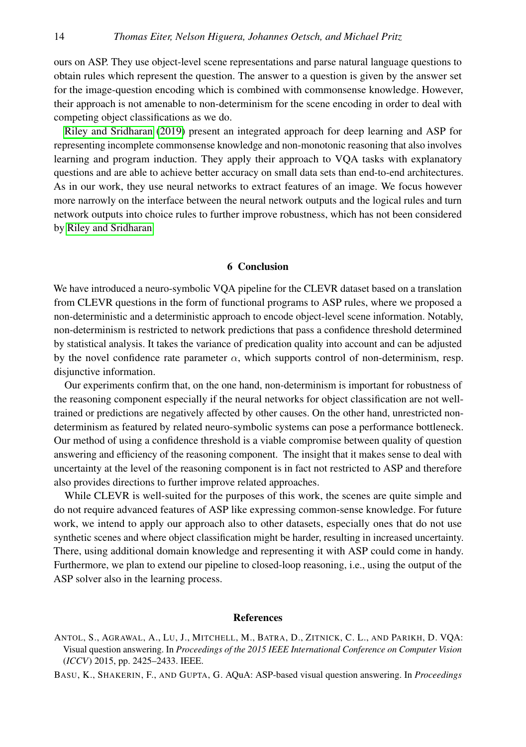ours on ASP. They use object-level scene representations and parse natural language questions to obtain rules which represent the question. The answer to a question is given by the answer set for the image-question encoding which is combined with commonsense knowledge. However, their approach is not amenable to non-determinism for the scene encoding in order to deal with competing object classifications as we do.

[Riley and Sridharan](#page-14-16) [\(2019\)](#page-14-16) present an integrated approach for deep learning and ASP for representing incomplete commonsense knowledge and non-monotonic reasoning that also involves learning and program induction. They apply their approach to VQA tasks with explanatory questions and are able to achieve better accuracy on small data sets than end-to-end architectures. As in our work, they use neural networks to extract features of an image. We focus however more narrowly on the interface between the neural network outputs and the logical rules and turn network outputs into choice rules to further improve robustness, which has not been considered by [Riley and Sridharan.](#page-14-16)

#### 6 Conclusion

<span id="page-13-2"></span>We have introduced a neuro-symbolic VQA pipeline for the CLEVR dataset based on a translation from CLEVR questions in the form of functional programs to ASP rules, where we proposed a non-deterministic and a deterministic approach to encode object-level scene information. Notably, non-determinism is restricted to network predictions that pass a confidence threshold determined by statistical analysis. It takes the variance of predication quality into account and can be adjusted by the novel confidence rate parameter  $\alpha$ , which supports control of non-determinism, resp. disjunctive information.

Our experiments confirm that, on the one hand, non-determinism is important for robustness of the reasoning component especially if the neural networks for object classification are not welltrained or predictions are negatively affected by other causes. On the other hand, unrestricted nondeterminism as featured by related neuro-symbolic systems can pose a performance bottleneck. Our method of using a confidence threshold is a viable compromise between quality of question answering and efficiency of the reasoning component. The insight that it makes sense to deal with uncertainty at the level of the reasoning component is in fact not restricted to ASP and therefore also provides directions to further improve related approaches.

While CLEVR is well-suited for the purposes of this work, the scenes are quite simple and do not require advanced features of ASP like expressing common-sense knowledge. For future work, we intend to apply our approach also to other datasets, especially ones that do not use synthetic scenes and where object classification might be harder, resulting in increased uncertainty. There, using additional domain knowledge and representing it with ASP could come in handy. Furthermore, we plan to extend our pipeline to closed-loop reasoning, i.e., using the output of the ASP solver also in the learning process.

# References

<span id="page-13-0"></span>ANTOL, S., AGRAWAL, A., LU, J., MITCHELL, M., BATRA, D., ZITNICK, C. L., AND PARIKH, D. VQA: Visual question answering. In *Proceedings of the 2015 IEEE International Conference on Computer Vision* (*ICCV*) 2015, pp. 2425–2433. IEEE.

<span id="page-13-1"></span>BASU, K., SHAKERIN, F., AND GUPTA, G. AQuA: ASP-based visual question answering. In *Proceedings*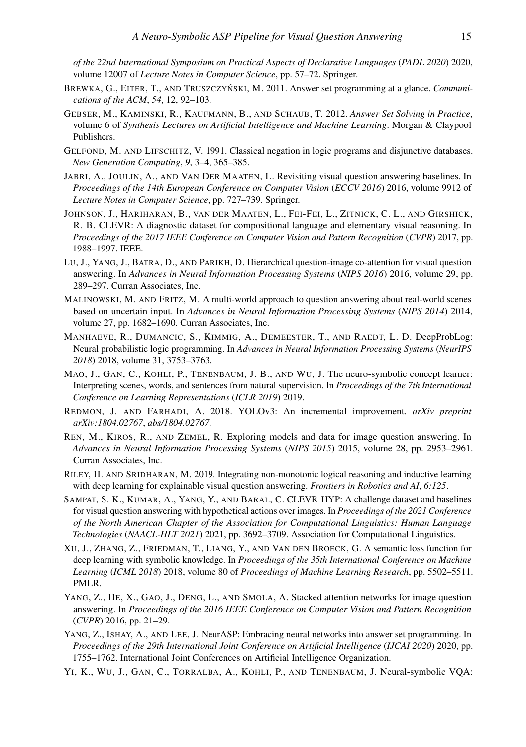*of the 22nd International Symposium on Practical Aspects of Declarative Languages* (*PADL 2020*) 2020, volume 12007 of *Lecture Notes in Computer Science*, pp. 57–72. Springer.

- <span id="page-14-6"></span>BREWKA, G., EITER, T., AND TRUSZCZYŃSKI, M. 2011. Answer set programming at a glance. *Communications of the ACM*, *54*, 12, 92–103.
- <span id="page-14-11"></span>GEBSER, M., KAMINSKI, R., KAUFMANN, B., AND SCHAUB, T. 2012. *Answer Set Solving in Practice*, volume 6 of *Synthesis Lectures on Artificial Intelligence and Machine Learning*. Morgan & Claypool Publishers.
- <span id="page-14-12"></span>GELFOND, M. AND LIFSCHITZ, V. 1991. Classical negation in logic programs and disjunctive databases. *New Generation Computing*, *9*, 3–4, 365–385.
- <span id="page-14-15"></span>JABRI, A., JOULIN, A., AND VAN DER MAATEN, L. Revisiting visual question answering baselines. In *Proceedings of the 14th European Conference on Computer Vision* (*ECCV 2016*) 2016, volume 9912 of *Lecture Notes in Computer Science*, pp. 727–739. Springer.
- <span id="page-14-5"></span>JOHNSON, J., HARIHARAN, B., VAN DER MAATEN, L., FEI-FEI, L., ZITNICK, C. L., AND GIRSHICK, R. B. CLEVR: A diagnostic dataset for compositional language and elementary visual reasoning. In *Proceedings of the 2017 IEEE Conference on Computer Vision and Pattern Recognition* (*CVPR*) 2017, pp. 1988–1997. IEEE.
- <span id="page-14-14"></span>LU, J., YANG, J., BATRA, D., AND PARIKH, D. Hierarchical question-image co-attention for visual question answering. In *Advances in Neural Information Processing Systems* (*NIPS 2016*) 2016, volume 29, pp. 289–297. Curran Associates, Inc.
- <span id="page-14-7"></span>MALINOWSKI, M. AND FRITZ, M. A multi-world approach to question answering about real-world scenes based on uncertain input. In *Advances in Neural Information Processing Systems* (*NIPS 2014*) 2014, volume 27, pp. 1682–1690. Curran Associates, Inc.
- <span id="page-14-1"></span>MANHAEVE, R., DUMANCIC, S., KIMMIG, A., DEMEESTER, T., AND RAEDT, L. D. DeepProbLog: Neural probabilistic logic programming. In *Advances in Neural Information Processing Systems* (*NeurIPS 2018*) 2018, volume 31, 3753–3763.
- <span id="page-14-4"></span>MAO, J., GAN, C., KOHLI, P., TENENBAUM, J. B., AND WU, J. The neuro-symbolic concept learner: Interpreting scenes, words, and sentences from natural supervision. In *Proceedings of the 7th International Conference on Learning Representations* (*ICLR 2019*) 2019.
- <span id="page-14-10"></span>REDMON, J. AND FARHADI, A. 2018. YOLOv3: An incremental improvement. *arXiv preprint arXiv:1804.02767*, *abs/1804.02767*.
- <span id="page-14-8"></span>REN, M., KIROS, R., AND ZEMEL, R. Exploring models and data for image question answering. In *Advances in Neural Information Processing Systems* (*NIPS 2015*) 2015, volume 28, pp. 2953–2961. Curran Associates, Inc.
- <span id="page-14-16"></span>RILEY, H. AND SRIDHARAN, M. 2019. Integrating non-monotonic logical reasoning and inductive learning with deep learning for explainable visual question answering. *Frontiers in Robotics and AI*, *6:125*.
- <span id="page-14-9"></span>SAMPAT, S. K., KUMAR, A., YANG, Y., AND BARAL, C. CLEVR HYP: A challenge dataset and baselines for visual question answering with hypothetical actions over images. In *Proceedings of the 2021 Conference of the North American Chapter of the Association for Computational Linguistics: Human Language Technologies* (*NAACL-HLT 2021*) 2021, pp. 3692–3709. Association for Computational Linguistics.
- <span id="page-14-0"></span>XU, J., ZHANG, Z., FRIEDMAN, T., LIANG, Y., AND VAN DEN BROECK, G. A semantic loss function for deep learning with symbolic knowledge. In *Proceedings of the 35th International Conference on Machine Learning* (*ICML 2018*) 2018, volume 80 of *Proceedings of Machine Learning Research*, pp. 5502–5511. PMLR.
- <span id="page-14-13"></span>YANG, Z., HE, X., GAO, J., DENG, L., AND SMOLA, A. Stacked attention networks for image question answering. In *Proceedings of the 2016 IEEE Conference on Computer Vision and Pattern Recognition* (*CVPR*) 2016, pp. 21–29.
- <span id="page-14-3"></span>YANG, Z., ISHAY, A., AND LEE, J. NeurASP: Embracing neural networks into answer set programming. In *Proceedings of the 29th International Joint Conference on Artificial Intelligence* (*IJCAI 2020*) 2020, pp. 1755–1762. International Joint Conferences on Artificial Intelligence Organization.
- <span id="page-14-2"></span>YI, K., WU, J., GAN, C., TORRALBA, A., KOHLI, P., AND TENENBAUM, J. Neural-symbolic VQA: